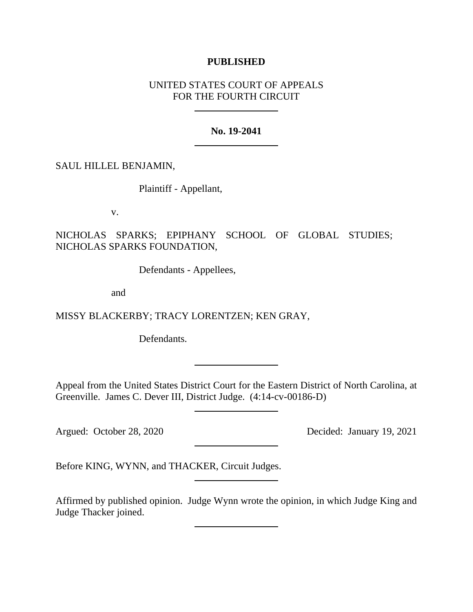# **PUBLISHED**

# UNITED STATES COURT OF APPEALS FOR THE FOURTH CIRCUIT

## **No. 19-2041**

SAUL HILLEL BENJAMIN,

Plaintiff - Appellant,

v.

NICHOLAS SPARKS; EPIPHANY SCHOOL OF GLOBAL STUDIES; NICHOLAS SPARKS FOUNDATION,

Defendants - Appellees,

and

MISSY BLACKERBY; TRACY LORENTZEN; KEN GRAY,

Defendants.

Appeal from the United States District Court for the Eastern District of North Carolina, at Greenville. James C. Dever III, District Judge. (4:14-cv-00186-D)

Argued: October 28, 2020 Decided: January 19, 2021

Before KING, WYNN, and THACKER, Circuit Judges.

Affirmed by published opinion. Judge Wynn wrote the opinion, in which Judge King and Judge Thacker joined.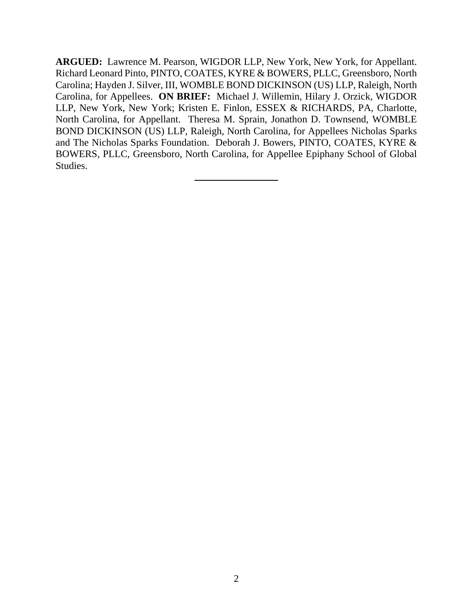**ARGUED:** Lawrence M. Pearson, WIGDOR LLP, New York, New York, for Appellant. Richard Leonard Pinto, PINTO, COATES, KYRE & BOWERS, PLLC, Greensboro, North Carolina; Hayden J. Silver, III, WOMBLE BOND DICKINSON (US) LLP, Raleigh, North Carolina, for Appellees. **ON BRIEF:** Michael J. Willemin, Hilary J. Orzick, WIGDOR LLP, New York, New York; Kristen E. Finlon, ESSEX & RICHARDS, PA, Charlotte, North Carolina, for Appellant. Theresa M. Sprain, Jonathon D. Townsend, WOMBLE BOND DICKINSON (US) LLP, Raleigh, North Carolina, for Appellees Nicholas Sparks and The Nicholas Sparks Foundation. Deborah J. Bowers, PINTO, COATES, KYRE & BOWERS, PLLC, Greensboro, North Carolina, for Appellee Epiphany School of Global Studies.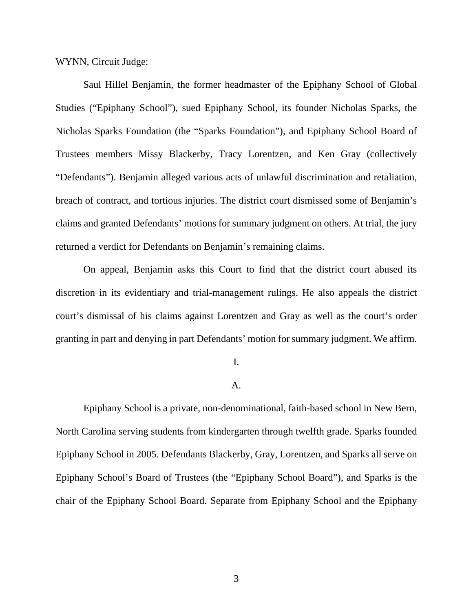WYNN, Circuit Judge:

Saul Hillel Benjamin, the former headmaster of the Epiphany School of Global Studies ("Epiphany School"), sued Epiphany School, its founder Nicholas Sparks, the Nicholas Sparks Foundation (the "Sparks Foundation"), and Epiphany School Board of Trustees members Missy Blackerby, Tracy Lorentzen, and Ken Gray (collectively "Defendants"). Benjamin alleged various acts of unlawful discrimination and retaliation, breach of contract, and tortious injuries. The district court dismissed some of Benjamin's claims and granted Defendants' motions for summary judgment on others. At trial, the jury returned a verdict for Defendants on Benjamin's remaining claims.

On appeal, Benjamin asks this Court to find that the district court abused its discretion in its evidentiary and trial-management rulings. He also appeals the district court's dismissal of his claims against Lorentzen and Gray as well as the court's order granting in part and denying in part Defendants' motion for summary judgment. We affirm.

### I.

### A.

Epiphany School is a private, non-denominational, faith-based school in New Bern, North Carolina serving students from kindergarten through twelfth grade. Sparks founded Epiphany School in 2005. Defendants Blackerby, Gray, Lorentzen, and Sparks all serve on Epiphany School's Board of Trustees (the "Epiphany School Board"), and Sparks is the chair of the Epiphany School Board. Separate from Epiphany School and the Epiphany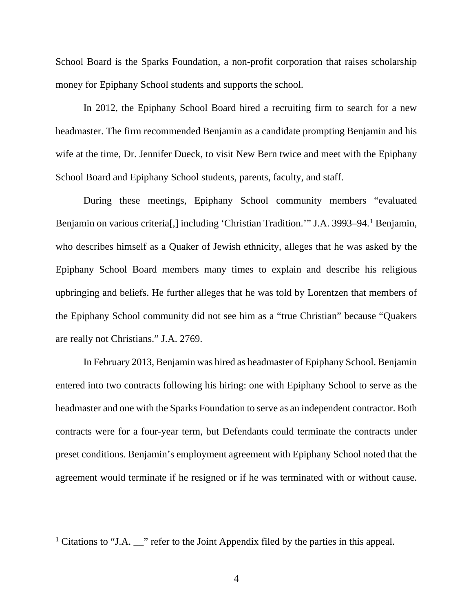School Board is the Sparks Foundation, a non-profit corporation that raises scholarship money for Epiphany School students and supports the school.

In 2012, the Epiphany School Board hired a recruiting firm to search for a new headmaster. The firm recommended Benjamin as a candidate prompting Benjamin and his wife at the time, Dr. Jennifer Dueck, to visit New Bern twice and meet with the Epiphany School Board and Epiphany School students, parents, faculty, and staff.

During these meetings, Epiphany School community members "evaluated Benjamin on various criteria<sup>[[1](#page-3-0)]</sup>, including 'Christian Tradition.'" J.A. 3993–94.<sup>1</sup> Benjamin, who describes himself as a Quaker of Jewish ethnicity, alleges that he was asked by the Epiphany School Board members many times to explain and describe his religious upbringing and beliefs. He further alleges that he was told by Lorentzen that members of the Epiphany School community did not see him as a "true Christian" because "Quakers are really not Christians." J.A. 2769.

In February 2013, Benjamin was hired as headmaster of Epiphany School. Benjamin entered into two contracts following his hiring: one with Epiphany School to serve as the headmaster and one with the Sparks Foundation to serve as an independent contractor. Both contracts were for a four-year term, but Defendants could terminate the contracts under preset conditions. Benjamin's employment agreement with Epiphany School noted that the agreement would terminate if he resigned or if he was terminated with or without cause.

<span id="page-3-0"></span><sup>&</sup>lt;sup>1</sup> Citations to "J.A.  $\blacksquare$ " refer to the Joint Appendix filed by the parties in this appeal.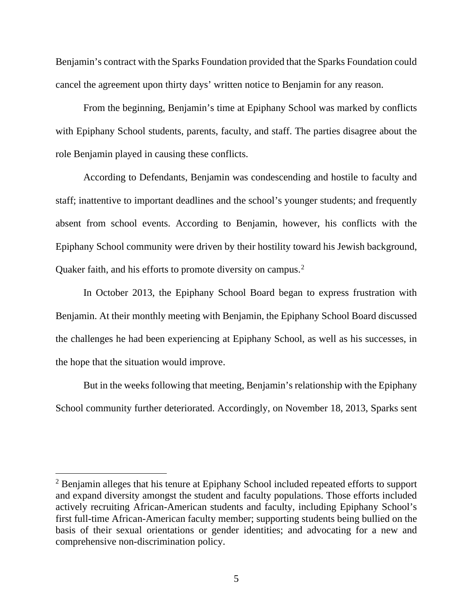Benjamin's contract with the Sparks Foundation provided that the Sparks Foundation could cancel the agreement upon thirty days' written notice to Benjamin for any reason.

From the beginning, Benjamin's time at Epiphany School was marked by conflicts with Epiphany School students, parents, faculty, and staff. The parties disagree about the role Benjamin played in causing these conflicts.

According to Defendants, Benjamin was condescending and hostile to faculty and staff; inattentive to important deadlines and the school's younger students; and frequently absent from school events. According to Benjamin, however, his conflicts with the Epiphany School community were driven by their hostility toward his Jewish background, Quaker faith, and his efforts to promote diversity on campus.<sup>[2](#page-4-0)</sup>

In October 2013, the Epiphany School Board began to express frustration with Benjamin. At their monthly meeting with Benjamin, the Epiphany School Board discussed the challenges he had been experiencing at Epiphany School, as well as his successes, in the hope that the situation would improve.

But in the weeks following that meeting, Benjamin's relationship with the Epiphany School community further deteriorated. Accordingly, on November 18, 2013, Sparks sent

<span id="page-4-0"></span><sup>2</sup> Benjamin alleges that his tenure at Epiphany School included repeated efforts to support and expand diversity amongst the student and faculty populations. Those efforts included actively recruiting African-American students and faculty, including Epiphany School's first full-time African-American faculty member; supporting students being bullied on the basis of their sexual orientations or gender identities; and advocating for a new and comprehensive non-discrimination policy.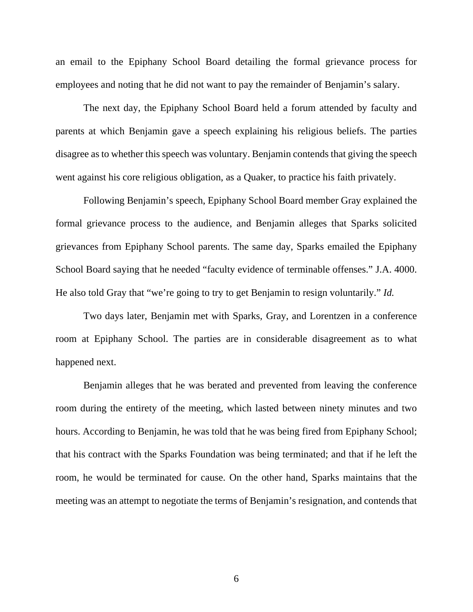an email to the Epiphany School Board detailing the formal grievance process for employees and noting that he did not want to pay the remainder of Benjamin's salary.

The next day, the Epiphany School Board held a forum attended by faculty and parents at which Benjamin gave a speech explaining his religious beliefs. The parties disagree as to whether this speech was voluntary. Benjamin contends that giving the speech went against his core religious obligation, as a Quaker, to practice his faith privately.

Following Benjamin's speech, Epiphany School Board member Gray explained the formal grievance process to the audience, and Benjamin alleges that Sparks solicited grievances from Epiphany School parents. The same day, Sparks emailed the Epiphany School Board saying that he needed "faculty evidence of terminable offenses." J.A. 4000. He also told Gray that "we're going to try to get Benjamin to resign voluntarily." *Id.*

Two days later, Benjamin met with Sparks, Gray, and Lorentzen in a conference room at Epiphany School. The parties are in considerable disagreement as to what happened next.

Benjamin alleges that he was berated and prevented from leaving the conference room during the entirety of the meeting, which lasted between ninety minutes and two hours. According to Benjamin, he was told that he was being fired from Epiphany School; that his contract with the Sparks Foundation was being terminated; and that if he left the room, he would be terminated for cause. On the other hand, Sparks maintains that the meeting was an attempt to negotiate the terms of Benjamin's resignation, and contends that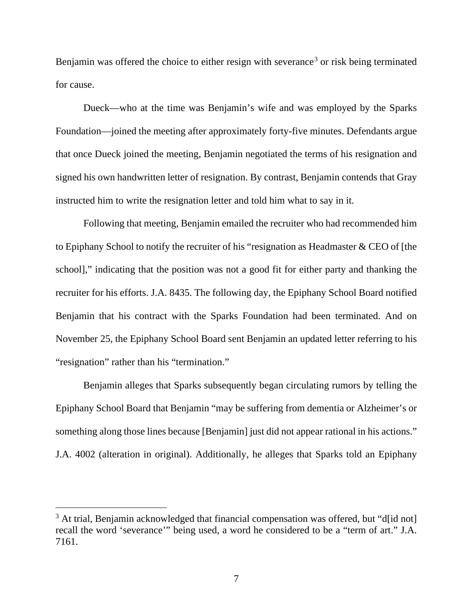Benjamin was offered the choice to either resign with severance<sup>[3](#page-6-0)</sup> or risk being terminated for cause.

Dueck—who at the time was Benjamin's wife and was employed by the Sparks Foundation—joined the meeting after approximately forty-five minutes. Defendants argue that once Dueck joined the meeting, Benjamin negotiated the terms of his resignation and signed his own handwritten letter of resignation. By contrast, Benjamin contends that Gray instructed him to write the resignation letter and told him what to say in it.

Following that meeting, Benjamin emailed the recruiter who had recommended him to Epiphany School to notify the recruiter of his "resignation as Headmaster & CEO of [the school]," indicating that the position was not a good fit for either party and thanking the recruiter for his efforts. J.A. 8435. The following day, the Epiphany School Board notified Benjamin that his contract with the Sparks Foundation had been terminated. And on November 25, the Epiphany School Board sent Benjamin an updated letter referring to his "resignation" rather than his "termination."

Benjamin alleges that Sparks subsequently began circulating rumors by telling the Epiphany School Board that Benjamin "may be suffering from dementia or Alzheimer's or something along those lines because [Benjamin] just did not appear rational in his actions." J.A. 4002 (alteration in original). Additionally, he alleges that Sparks told an Epiphany

<span id="page-6-0"></span><sup>&</sup>lt;sup>3</sup> At trial, Benjamin acknowledged that financial compensation was offered, but "d[id not] recall the word 'severance'" being used, a word he considered to be a "term of art." J.A. 7161.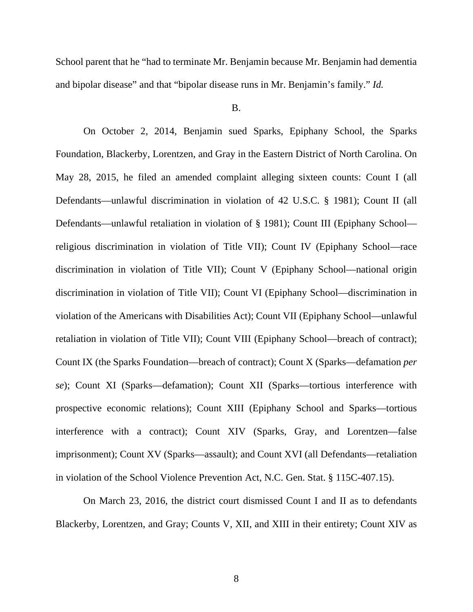School parent that he "had to terminate Mr. Benjamin because Mr. Benjamin had dementia and bipolar disease" and that "bipolar disease runs in Mr. Benjamin's family." *Id.*

B.

On October 2, 2014, Benjamin sued Sparks, Epiphany School, the Sparks Foundation, Blackerby, Lorentzen, and Gray in the Eastern District of North Carolina. On May 28, 2015, he filed an amended complaint alleging sixteen counts: Count I (all Defendants—unlawful discrimination in violation of 42 U.S.C. § 1981); Count II (all Defendants—unlawful retaliation in violation of § 1981); Count III (Epiphany School religious discrimination in violation of Title VII); Count IV (Epiphany School—race discrimination in violation of Title VII); Count V (Epiphany School—national origin discrimination in violation of Title VII); Count VI (Epiphany School—discrimination in violation of the Americans with Disabilities Act); Count VII (Epiphany School—unlawful retaliation in violation of Title VII); Count VIII (Epiphany School—breach of contract); Count IX (the Sparks Foundation—breach of contract); Count X (Sparks—defamation *per se*); Count XI (Sparks—defamation); Count XII (Sparks—tortious interference with prospective economic relations); Count XIII (Epiphany School and Sparks—tortious interference with a contract); Count XIV (Sparks, Gray, and Lorentzen—false imprisonment); Count XV (Sparks—assault); and Count XVI (all Defendants—retaliation in violation of the School Violence Prevention Act, N.C. Gen. Stat. § 115C-407.15).

On March 23, 2016, the district court dismissed Count I and II as to defendants Blackerby, Lorentzen, and Gray; Counts V, XII, and XIII in their entirety; Count XIV as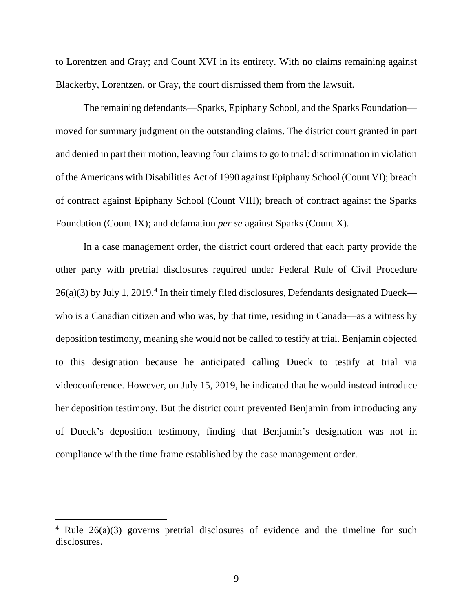to Lorentzen and Gray; and Count XVI in its entirety. With no claims remaining against Blackerby, Lorentzen, or Gray, the court dismissed them from the lawsuit.

The remaining defendants—Sparks, Epiphany School, and the Sparks Foundation moved for summary judgment on the outstanding claims. The district court granted in part and denied in part their motion, leaving four claims to go to trial: discrimination in violation of the Americans with Disabilities Act of 1990 against Epiphany School (Count VI); breach of contract against Epiphany School (Count VIII); breach of contract against the Sparks Foundation (Count IX); and defamation *per se* against Sparks (Count X).

In a case management order, the district court ordered that each party provide the other party with pretrial disclosures required under Federal Rule of Civil Procedure  $26(a)(3)$  by July 1, 2019.<sup>[4](#page-8-0)</sup> In their timely filed disclosures, Defendants designated Dueck who is a Canadian citizen and who was, by that time, residing in Canada—as a witness by deposition testimony, meaning she would not be called to testify at trial. Benjamin objected to this designation because he anticipated calling Dueck to testify at trial via videoconference. However, on July 15, 2019, he indicated that he would instead introduce her deposition testimony. But the district court prevented Benjamin from introducing any of Dueck's deposition testimony, finding that Benjamin's designation was not in compliance with the time frame established by the case management order.

<span id="page-8-0"></span><sup>&</sup>lt;sup>4</sup> Rule  $26(a)(3)$  governs pretrial disclosures of evidence and the timeline for such disclosures.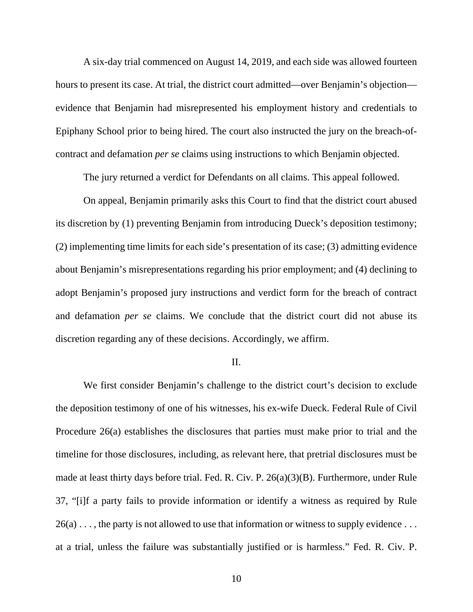A six-day trial commenced on August 14, 2019, and each side was allowed fourteen hours to present its case. At trial, the district court admitted—over Benjamin's objection evidence that Benjamin had misrepresented his employment history and credentials to Epiphany School prior to being hired. The court also instructed the jury on the breach-ofcontract and defamation *per se* claims using instructions to which Benjamin objected.

The jury returned a verdict for Defendants on all claims. This appeal followed.

On appeal, Benjamin primarily asks this Court to find that the district court abused its discretion by (1) preventing Benjamin from introducing Dueck's deposition testimony; (2) implementing time limits for each side's presentation of its case; (3) admitting evidence about Benjamin's misrepresentations regarding his prior employment; and (4) declining to adopt Benjamin's proposed jury instructions and verdict form for the breach of contract and defamation *per se* claims. We conclude that the district court did not abuse its discretion regarding any of these decisions. Accordingly, we affirm.

#### II.

We first consider Benjamin's challenge to the district court's decision to exclude the deposition testimony of one of his witnesses, his ex-wife Dueck. Federal Rule of Civil Procedure 26(a) establishes the disclosures that parties must make prior to trial and the timeline for those disclosures, including, as relevant here, that pretrial disclosures must be made at least thirty days before trial. Fed. R. Civ. P. 26(a)(3)(B). Furthermore, under Rule 37, "[i]f a party fails to provide information or identify a witness as required by Rule  $26(a) \ldots$ , the party is not allowed to use that information or witness to supply evidence  $\ldots$ at a trial, unless the failure was substantially justified or is harmless." Fed. R. Civ. P.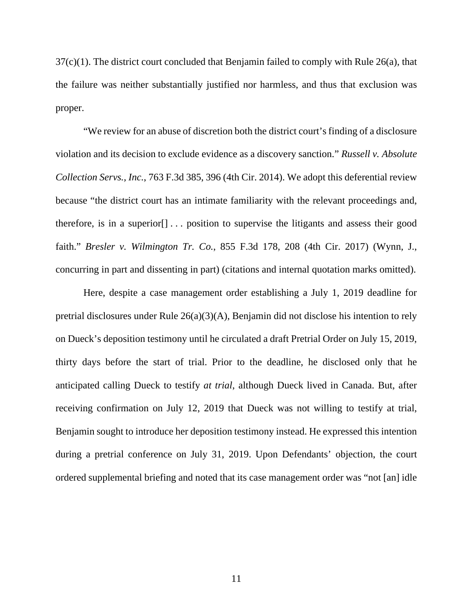37(c)(1). The district court concluded that Benjamin failed to comply with Rule 26(a), that the failure was neither substantially justified nor harmless, and thus that exclusion was proper.

"We review for an abuse of discretion both the district court's finding of a disclosure violation and its decision to exclude evidence as a discovery sanction." *Russell v. Absolute Collection Servs., Inc.*, 763 F.3d 385, 396 (4th Cir. 2014). We adopt this deferential review because "the district court has an intimate familiarity with the relevant proceedings and, therefore, is in a superior[] . . . position to supervise the litigants and assess their good faith." *Bresler v. Wilmington Tr. Co.*, 855 F.3d 178, 208 (4th Cir. 2017) (Wynn, J., concurring in part and dissenting in part) (citations and internal quotation marks omitted).

Here, despite a case management order establishing a July 1, 2019 deadline for pretrial disclosures under Rule 26(a)(3)(A), Benjamin did not disclose his intention to rely on Dueck's deposition testimony until he circulated a draft Pretrial Order on July 15, 2019, thirty days before the start of trial. Prior to the deadline, he disclosed only that he anticipated calling Dueck to testify *at trial*, although Dueck lived in Canada. But, after receiving confirmation on July 12, 2019 that Dueck was not willing to testify at trial, Benjamin sought to introduce her deposition testimony instead. He expressed this intention during a pretrial conference on July 31, 2019. Upon Defendants' objection, the court ordered supplemental briefing and noted that its case management order was "not [an] idle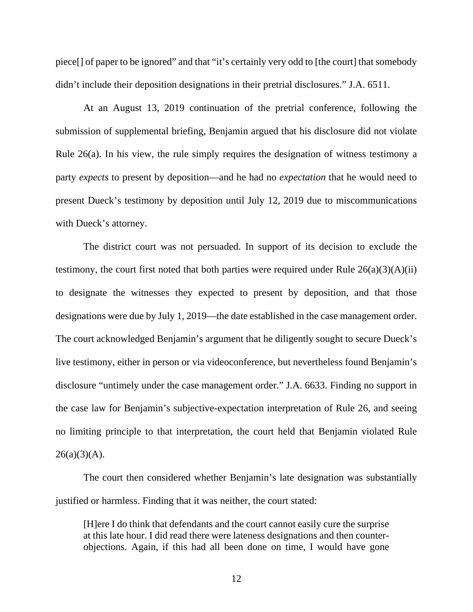piece[] of paper to be ignored" and that "it's certainly very odd to [the court] that somebody didn't include their deposition designations in their pretrial disclosures." J.A. 6511.

At an August 13, 2019 continuation of the pretrial conference, following the submission of supplemental briefing, Benjamin argued that his disclosure did not violate Rule 26(a). In his view, the rule simply requires the designation of witness testimony a party *expects* to present by deposition—and he had no *expectation* that he would need to present Dueck's testimony by deposition until July 12, 2019 due to miscommunications with Dueck's attorney.

The district court was not persuaded. In support of its decision to exclude the testimony, the court first noted that both parties were required under Rule  $26(a)(3)(A)(ii)$ to designate the witnesses they expected to present by deposition, and that those designations were due by July 1, 2019—the date established in the case management order. The court acknowledged Benjamin's argument that he diligently sought to secure Dueck's live testimony, either in person or via videoconference, but nevertheless found Benjamin's disclosure "untimely under the case management order." J.A. 6633. Finding no support in the case law for Benjamin's subjective-expectation interpretation of Rule 26, and seeing no limiting principle to that interpretation, the court held that Benjamin violated Rule  $26(a)(3)(A)$ .

The court then considered whether Benjamin's late designation was substantially justified or harmless. Finding that it was neither, the court stated:

[H]ere I do think that defendants and the court cannot easily cure the surprise at this late hour. I did read there were lateness designations and then counterobjections. Again, if this had all been done on time, I would have gone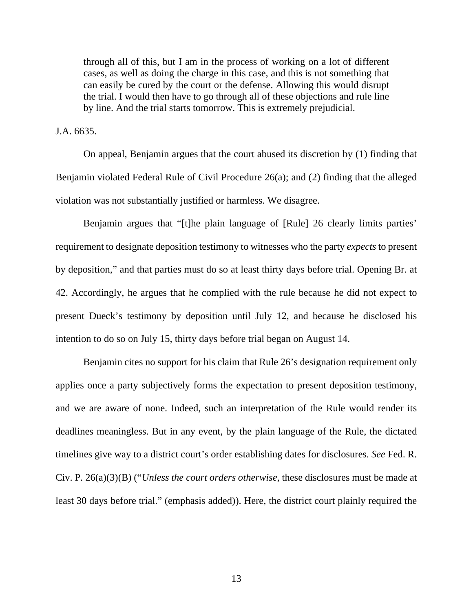through all of this, but I am in the process of working on a lot of different cases, as well as doing the charge in this case, and this is not something that can easily be cured by the court or the defense. Allowing this would disrupt the trial. I would then have to go through all of these objections and rule line by line. And the trial starts tomorrow. This is extremely prejudicial.

J.A. 6635.

On appeal, Benjamin argues that the court abused its discretion by (1) finding that Benjamin violated Federal Rule of Civil Procedure 26(a); and (2) finding that the alleged violation was not substantially justified or harmless. We disagree.

Benjamin argues that "[t]he plain language of [Rule] 26 clearly limits parties' requirement to designate deposition testimony to witnesses who the party *expects* to present by deposition," and that parties must do so at least thirty days before trial. Opening Br. at 42. Accordingly, he argues that he complied with the rule because he did not expect to present Dueck's testimony by deposition until July 12, and because he disclosed his intention to do so on July 15, thirty days before trial began on August 14.

Benjamin cites no support for his claim that Rule 26's designation requirement only applies once a party subjectively forms the expectation to present deposition testimony, and we are aware of none. Indeed, such an interpretation of the Rule would render its deadlines meaningless. But in any event, by the plain language of the Rule, the dictated timelines give way to a district court's order establishing dates for disclosures. *See* Fed. R. Civ. P. 26(a)(3)(B) ("*Unless the court orders otherwise*, these disclosures must be made at least 30 days before trial." (emphasis added)). Here, the district court plainly required the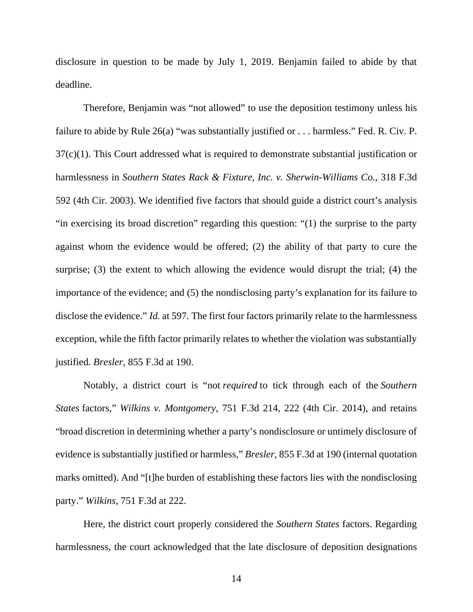disclosure in question to be made by July 1, 2019. Benjamin failed to abide by that deadline.

Therefore, Benjamin was "not allowed" to use the deposition testimony unless his failure to abide by Rule 26(a) "was substantially justified or . . . harmless." Fed. R. Civ. P. 37(c)(1). This Court addressed what is required to demonstrate substantial justification or harmlessness in *Southern States Rack & Fixture, Inc. v. Sherwin-Williams Co.*, 318 F.3d 592 (4th Cir. 2003). We identified five factors that should guide a district court's analysis "in exercising its broad discretion" regarding this question: "(1) the surprise to the party against whom the evidence would be offered; (2) the ability of that party to cure the surprise; (3) the extent to which allowing the evidence would disrupt the trial; (4) the importance of the evidence; and (5) the nondisclosing party's explanation for its failure to disclose the evidence." *Id.* at 597. The first four factors primarily relate to the harmlessness exception, while the fifth factor primarily relates to whether the violation was substantially justified. *Bresler*, 855 F.3d at 190.

Notably, a district court is "not *required* to tick through each of the *Southern States* factors," *Wilkins v. Montgomery*, 751 F.3d 214, 222 (4th Cir. 2014), and retains "broad discretion in determining whether a party's nondisclosure or untimely disclosure of evidence is substantially justified or harmless," *Bresler*, 855 F.3d at 190 (internal quotation marks omitted). And "[t]he burden of establishing these factors lies with the nondisclosing party." *Wilkins*, 751 F.3d at 222.

Here, the district court properly considered the *Southern States* factors. Regarding harmlessness, the court acknowledged that the late disclosure of deposition designations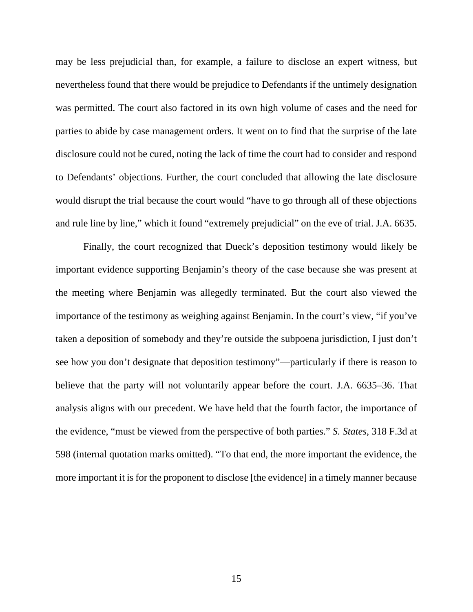may be less prejudicial than, for example, a failure to disclose an expert witness, but nevertheless found that there would be prejudice to Defendants if the untimely designation was permitted. The court also factored in its own high volume of cases and the need for parties to abide by case management orders. It went on to find that the surprise of the late disclosure could not be cured, noting the lack of time the court had to consider and respond to Defendants' objections. Further, the court concluded that allowing the late disclosure would disrupt the trial because the court would "have to go through all of these objections and rule line by line," which it found "extremely prejudicial" on the eve of trial. J.A. 6635.

Finally, the court recognized that Dueck's deposition testimony would likely be important evidence supporting Benjamin's theory of the case because she was present at the meeting where Benjamin was allegedly terminated. But the court also viewed the importance of the testimony as weighing against Benjamin. In the court's view, "if you've taken a deposition of somebody and they're outside the subpoena jurisdiction, I just don't see how you don't designate that deposition testimony"—particularly if there is reason to believe that the party will not voluntarily appear before the court. J.A. 6635–36. That analysis aligns with our precedent. We have held that the fourth factor, the importance of the evidence, "must be viewed from the perspective of both parties." *S. States*, 318 F.3d at 598 (internal quotation marks omitted). "To that end, the more important the evidence, the more important it is for the proponent to disclose [the evidence] in a timely manner because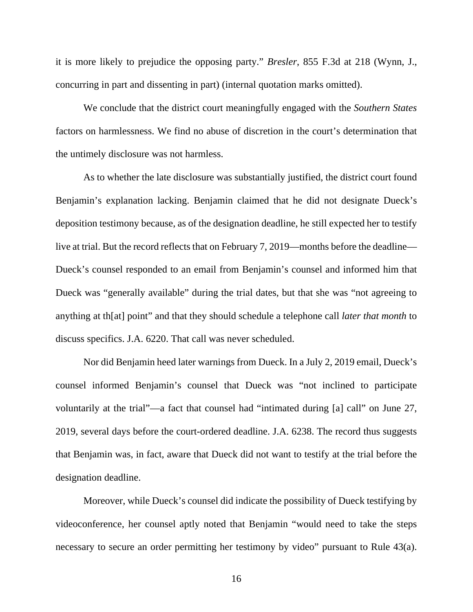it is more likely to prejudice the opposing party." *Bresler*, 855 F.3d at 218 (Wynn, J., concurring in part and dissenting in part) (internal quotation marks omitted).

We conclude that the district court meaningfully engaged with the *Southern States* factors on harmlessness. We find no abuse of discretion in the court's determination that the untimely disclosure was not harmless.

As to whether the late disclosure was substantially justified, the district court found Benjamin's explanation lacking. Benjamin claimed that he did not designate Dueck's deposition testimony because, as of the designation deadline, he still expected her to testify live at trial. But the record reflects that on February 7, 2019—months before the deadline— Dueck's counsel responded to an email from Benjamin's counsel and informed him that Dueck was "generally available" during the trial dates, but that she was "not agreeing to anything at th[at] point" and that they should schedule a telephone call *later that month* to discuss specifics. J.A. 6220. That call was never scheduled.

Nor did Benjamin heed later warnings from Dueck. In a July 2, 2019 email, Dueck's counsel informed Benjamin's counsel that Dueck was "not inclined to participate voluntarily at the trial"—a fact that counsel had "intimated during [a] call" on June 27, 2019, several days before the court-ordered deadline. J.A. 6238. The record thus suggests that Benjamin was, in fact, aware that Dueck did not want to testify at the trial before the designation deadline.

Moreover, while Dueck's counsel did indicate the possibility of Dueck testifying by videoconference, her counsel aptly noted that Benjamin "would need to take the steps necessary to secure an order permitting her testimony by video" pursuant to Rule 43(a).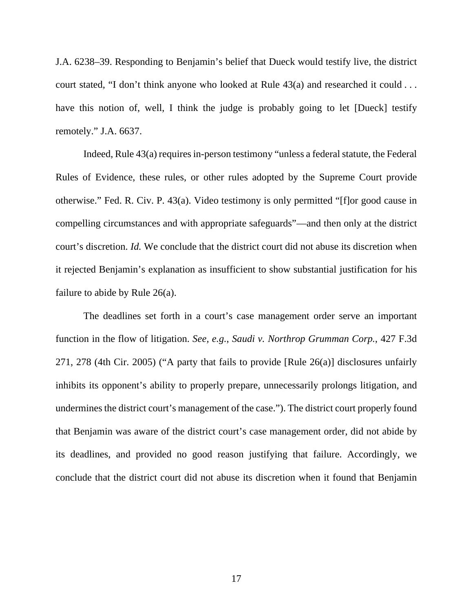J.A. 6238–39. Responding to Benjamin's belief that Dueck would testify live, the district court stated, "I don't think anyone who looked at Rule 43(a) and researched it could . . . have this notion of, well, I think the judge is probably going to let [Dueck] testify remotely." J.A. 6637.

Indeed, Rule 43(a) requires in-person testimony "unless a federal statute, the Federal Rules of Evidence, these rules, or other rules adopted by the Supreme Court provide otherwise." Fed. R. Civ. P. 43(a). Video testimony is only permitted "[f]or good cause in compelling circumstances and with appropriate safeguards"—and then only at the district court's discretion. *Id.* We conclude that the district court did not abuse its discretion when it rejected Benjamin's explanation as insufficient to show substantial justification for his failure to abide by Rule 26(a).

The deadlines set forth in a court's case management order serve an important function in the flow of litigation. *See, e.g.*, *Saudi v. Northrop Grumman Corp.*, 427 F.3d 271, 278 (4th Cir. 2005) ("A party that fails to provide [Rule 26(a)] disclosures unfairly inhibits its opponent's ability to properly prepare, unnecessarily prolongs litigation, and undermines the district court's management of the case."). The district court properly found that Benjamin was aware of the district court's case management order, did not abide by its deadlines, and provided no good reason justifying that failure. Accordingly, we conclude that the district court did not abuse its discretion when it found that Benjamin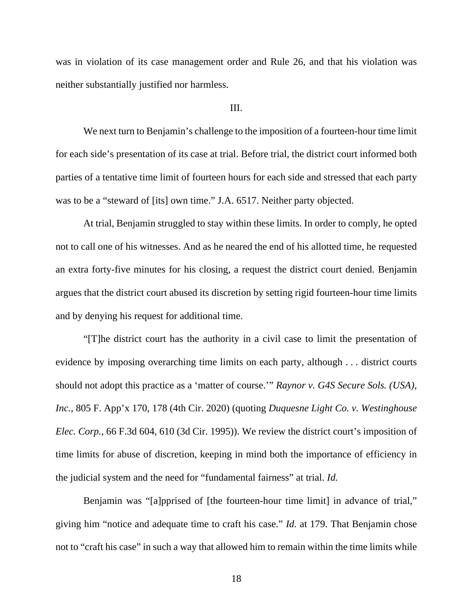was in violation of its case management order and Rule 26, and that his violation was neither substantially justified nor harmless.

## III.

We next turn to Benjamin's challenge to the imposition of a fourteen-hour time limit for each side's presentation of its case at trial. Before trial, the district court informed both parties of a tentative time limit of fourteen hours for each side and stressed that each party was to be a "steward of [its] own time." J.A. 6517. Neither party objected.

At trial, Benjamin struggled to stay within these limits. In order to comply, he opted not to call one of his witnesses. And as he neared the end of his allotted time, he requested an extra forty-five minutes for his closing, a request the district court denied. Benjamin argues that the district court abused its discretion by setting rigid fourteen-hour time limits and by denying his request for additional time.

"[T]he district court has the authority in a civil case to limit the presentation of evidence by imposing overarching time limits on each party, although . . . district courts should not adopt this practice as a 'matter of course.'" *Raynor v. G4S Secure Sols. (USA), Inc.*, 805 F. App'x 170, 178 (4th Cir. 2020) (quoting *Duquesne Light Co. v. Westinghouse Elec. Corp.*, 66 F.3d 604, 610 (3d Cir. 1995)). We review the district court's imposition of time limits for abuse of discretion, keeping in mind both the importance of efficiency in the judicial system and the need for "fundamental fairness" at trial. *Id.* 

Benjamin was "[a]pprised of [the fourteen-hour time limit] in advance of trial," giving him "notice and adequate time to craft his case." *Id.* at 179. That Benjamin chose not to "craft his case" in such a way that allowed him to remain within the time limits while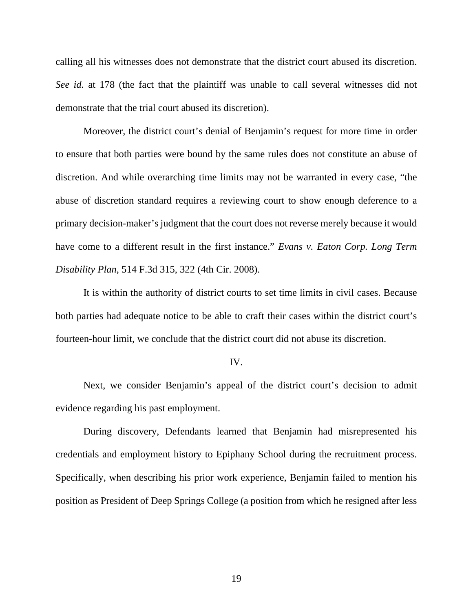calling all his witnesses does not demonstrate that the district court abused its discretion. *See id.* at 178 (the fact that the plaintiff was unable to call several witnesses did not demonstrate that the trial court abused its discretion).

Moreover, the district court's denial of Benjamin's request for more time in order to ensure that both parties were bound by the same rules does not constitute an abuse of discretion. And while overarching time limits may not be warranted in every case, "the abuse of discretion standard requires a reviewing court to show enough deference to a primary decision-maker's judgment that the court does not reverse merely because it would have come to a different result in the first instance." *Evans v. Eaton Corp. Long Term Disability Plan*, 514 F.3d 315, 322 (4th Cir. 2008).

It is within the authority of district courts to set time limits in civil cases. Because both parties had adequate notice to be able to craft their cases within the district court's fourteen-hour limit, we conclude that the district court did not abuse its discretion.

#### IV.

Next, we consider Benjamin's appeal of the district court's decision to admit evidence regarding his past employment.

During discovery, Defendants learned that Benjamin had misrepresented his credentials and employment history to Epiphany School during the recruitment process. Specifically, when describing his prior work experience, Benjamin failed to mention his position as President of Deep Springs College (a position from which he resigned after less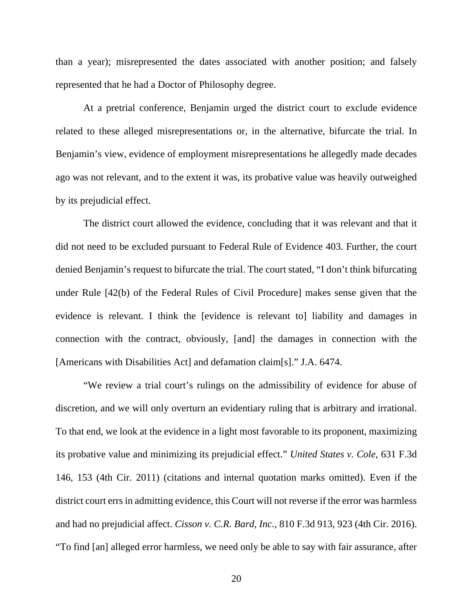than a year); misrepresented the dates associated with another position; and falsely represented that he had a Doctor of Philosophy degree.

At a pretrial conference, Benjamin urged the district court to exclude evidence related to these alleged misrepresentations or, in the alternative, bifurcate the trial. In Benjamin's view, evidence of employment misrepresentations he allegedly made decades ago was not relevant, and to the extent it was, its probative value was heavily outweighed by its prejudicial effect.

The district court allowed the evidence, concluding that it was relevant and that it did not need to be excluded pursuant to Federal Rule of Evidence 403. Further, the court denied Benjamin's request to bifurcate the trial. The court stated, "I don't think bifurcating under Rule [42(b) of the Federal Rules of Civil Procedure] makes sense given that the evidence is relevant. I think the [evidence is relevant to] liability and damages in connection with the contract, obviously, [and] the damages in connection with the [Americans with Disabilities Act] and defamation claim[s]." J.A. 6474.

"We review a trial court's rulings on the admissibility of evidence for abuse of discretion, and we will only overturn an evidentiary ruling that is arbitrary and irrational. To that end, we look at the evidence in a light most favorable to its proponent, maximizing its probative value and minimizing its prejudicial effect." *United States v. Cole*, 631 F.3d 146, 153 (4th Cir. 2011) (citations and internal quotation marks omitted). Even if the district court errs in admitting evidence, this Court will not reverse if the error was harmless and had no prejudicial affect. *Cisson v. C.R. Bard, Inc.*, 810 F.3d 913, 923 (4th Cir. 2016). "To find [an] alleged error harmless, we need only be able to say with fair assurance, after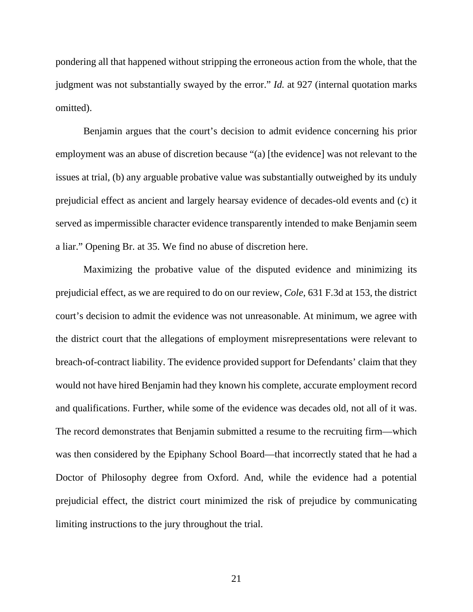pondering all that happened without stripping the erroneous action from the whole, that the judgment was not substantially swayed by the error." *Id.* at 927 (internal quotation marks omitted).

Benjamin argues that the court's decision to admit evidence concerning his prior employment was an abuse of discretion because "(a) [the evidence] was not relevant to the issues at trial, (b) any arguable probative value was substantially outweighed by its unduly prejudicial effect as ancient and largely hearsay evidence of decades-old events and (c) it served as impermissible character evidence transparently intended to make Benjamin seem a liar." Opening Br. at 35. We find no abuse of discretion here.

Maximizing the probative value of the disputed evidence and minimizing its prejudicial effect, as we are required to do on our review, *Cole*, 631 F.3d at 153, the district court's decision to admit the evidence was not unreasonable. At minimum, we agree with the district court that the allegations of employment misrepresentations were relevant to breach-of-contract liability. The evidence provided support for Defendants' claim that they would not have hired Benjamin had they known his complete, accurate employment record and qualifications. Further, while some of the evidence was decades old, not all of it was. The record demonstrates that Benjamin submitted a resume to the recruiting firm—which was then considered by the Epiphany School Board—that incorrectly stated that he had a Doctor of Philosophy degree from Oxford. And, while the evidence had a potential prejudicial effect, the district court minimized the risk of prejudice by communicating limiting instructions to the jury throughout the trial.

21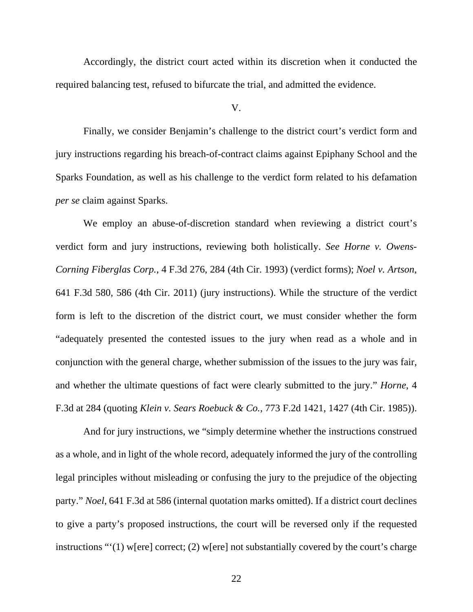Accordingly, the district court acted within its discretion when it conducted the required balancing test, refused to bifurcate the trial, and admitted the evidence.

V.

Finally, we consider Benjamin's challenge to the district court's verdict form and jury instructions regarding his breach-of-contract claims against Epiphany School and the Sparks Foundation, as well as his challenge to the verdict form related to his defamation *per se* claim against Sparks.

We employ an abuse-of-discretion standard when reviewing a district court's verdict form and jury instructions, reviewing both holistically. *See Horne v. Owens-Corning Fiberglas Corp.*, 4 F.3d 276, 284 (4th Cir. 1993) (verdict forms); *Noel v. Artson*, 641 F.3d 580, 586 (4th Cir. 2011) (jury instructions). While the structure of the verdict form is left to the discretion of the district court, we must consider whether the form "adequately presented the contested issues to the jury when read as a whole and in conjunction with the general charge, whether submission of the issues to the jury was fair, and whether the ultimate questions of fact were clearly submitted to the jury." *Horne*, 4 F.3d at 284 (quoting *Klein v. Sears Roebuck & Co.*, 773 F.2d 1421, 1427 (4th Cir. 1985)).

And for jury instructions, we "simply determine whether the instructions construed as a whole, and in light of the whole record, adequately informed the jury of the controlling legal principles without misleading or confusing the jury to the prejudice of the objecting party." *Noel*, 641 F.3d at 586 (internal quotation marks omitted). If a district court declines to give a party's proposed instructions, the court will be reversed only if the requested instructions "'(1) w[ere] correct; (2) w[ere] not substantially covered by the court's charge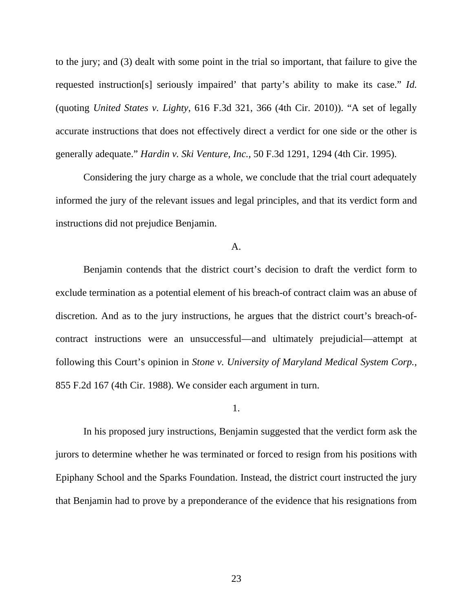to the jury; and (3) dealt with some point in the trial so important, that failure to give the requested instruction[s] seriously impaired' that party's ability to make its case." *Id.* (quoting *United States v. Lighty*, 616 F.3d 321, 366 (4th Cir. 2010)). "A set of legally accurate instructions that does not effectively direct a verdict for one side or the other is generally adequate." *Hardin v. Ski Venture, Inc.*, 50 F.3d 1291, 1294 (4th Cir. 1995).

Considering the jury charge as a whole, we conclude that the trial court adequately informed the jury of the relevant issues and legal principles, and that its verdict form and instructions did not prejudice Benjamin.

A.

Benjamin contends that the district court's decision to draft the verdict form to exclude termination as a potential element of his breach-of contract claim was an abuse of discretion. And as to the jury instructions, he argues that the district court's breach-ofcontract instructions were an unsuccessful—and ultimately prejudicial—attempt at following this Court's opinion in *Stone v. University of Maryland Medical System Corp.*, 855 F.2d 167 (4th Cir. 1988). We consider each argument in turn.

1.

In his proposed jury instructions, Benjamin suggested that the verdict form ask the jurors to determine whether he was terminated or forced to resign from his positions with Epiphany School and the Sparks Foundation. Instead, the district court instructed the jury that Benjamin had to prove by a preponderance of the evidence that his resignations from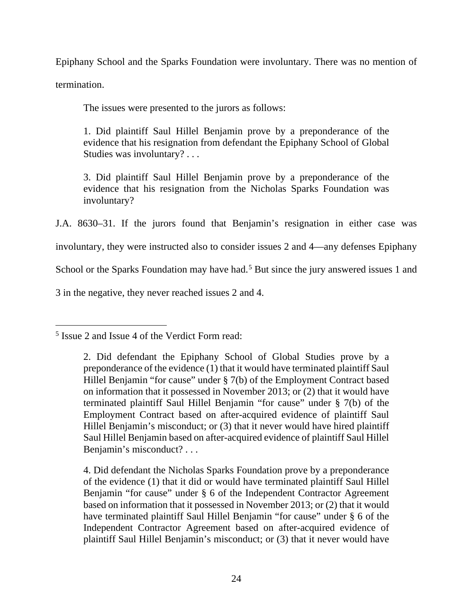Epiphany School and the Sparks Foundation were involuntary. There was no mention of termination.

The issues were presented to the jurors as follows:

1. Did plaintiff Saul Hillel Benjamin prove by a preponderance of the evidence that his resignation from defendant the Epiphany School of Global Studies was involuntary? . . .

3. Did plaintiff Saul Hillel Benjamin prove by a preponderance of the evidence that his resignation from the Nicholas Sparks Foundation was involuntary?

J.A. 8630–31. If the jurors found that Benjamin's resignation in either case was

involuntary, they were instructed also to consider issues 2 and 4—any defenses Epiphany

School or the Sparks Foundation may have had.<sup>[5](#page-23-0)</sup> But since the jury answered issues 1 and

3 in the negative, they never reached issues 2 and 4.

4. Did defendant the Nicholas Sparks Foundation prove by a preponderance of the evidence (1) that it did or would have terminated plaintiff Saul Hillel Benjamin "for cause" under § 6 of the Independent Contractor Agreement based on information that it possessed in November 2013; or (2) that it would have terminated plaintiff Saul Hillel Benjamin "for cause" under § 6 of the Independent Contractor Agreement based on after-acquired evidence of plaintiff Saul Hillel Benjamin's misconduct; or (3) that it never would have

<span id="page-23-0"></span><sup>5</sup> Issue 2 and Issue 4 of the Verdict Form read:

<sup>2.</sup> Did defendant the Epiphany School of Global Studies prove by a preponderance of the evidence (1) that it would have terminated plaintiff Saul Hillel Benjamin "for cause" under § 7(b) of the Employment Contract based on information that it possessed in November 2013; or (2) that it would have terminated plaintiff Saul Hillel Benjamin "for cause" under § 7(b) of the Employment Contract based on after-acquired evidence of plaintiff Saul Hillel Benjamin's misconduct; or (3) that it never would have hired plaintiff Saul Hillel Benjamin based on after-acquired evidence of plaintiff Saul Hillel Benjamin's misconduct? . . .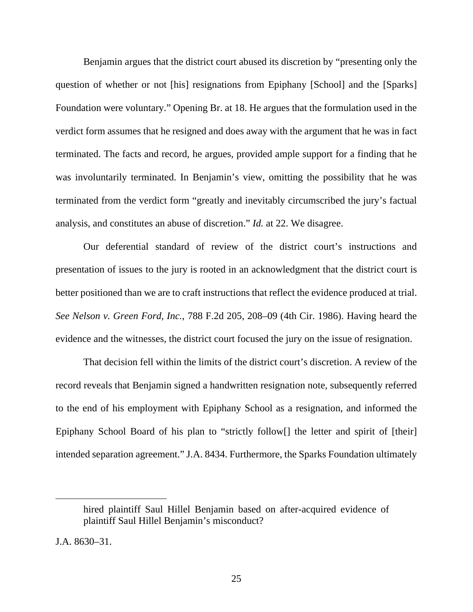Benjamin argues that the district court abused its discretion by "presenting only the question of whether or not [his] resignations from Epiphany [School] and the [Sparks] Foundation were voluntary." Opening Br. at 18. He argues that the formulation used in the verdict form assumes that he resigned and does away with the argument that he was in fact terminated. The facts and record, he argues, provided ample support for a finding that he was involuntarily terminated. In Benjamin's view, omitting the possibility that he was terminated from the verdict form "greatly and inevitably circumscribed the jury's factual analysis, and constitutes an abuse of discretion." *Id.* at 22. We disagree.

Our deferential standard of review of the district court's instructions and presentation of issues to the jury is rooted in an acknowledgment that the district court is better positioned than we are to craft instructions that reflect the evidence produced at trial. *See Nelson v. Green Ford, Inc.*, 788 F.2d 205, 208–09 (4th Cir. 1986). Having heard the evidence and the witnesses, the district court focused the jury on the issue of resignation.

That decision fell within the limits of the district court's discretion. A review of the record reveals that Benjamin signed a handwritten resignation note, subsequently referred to the end of his employment with Epiphany School as a resignation, and informed the Epiphany School Board of his plan to "strictly follow<sup>[]</sup> the letter and spirit of [their] intended separation agreement." J.A. 8434. Furthermore, the Sparks Foundation ultimately

hired plaintiff Saul Hillel Benjamin based on after-acquired evidence of plaintiff Saul Hillel Benjamin's misconduct?

J.A. 8630–31.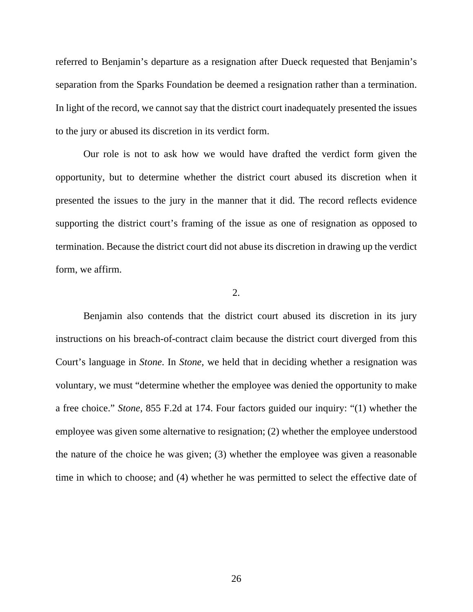referred to Benjamin's departure as a resignation after Dueck requested that Benjamin's separation from the Sparks Foundation be deemed a resignation rather than a termination. In light of the record, we cannot say that the district court inadequately presented the issues to the jury or abused its discretion in its verdict form.

Our role is not to ask how we would have drafted the verdict form given the opportunity, but to determine whether the district court abused its discretion when it presented the issues to the jury in the manner that it did. The record reflects evidence supporting the district court's framing of the issue as one of resignation as opposed to termination. Because the district court did not abuse its discretion in drawing up the verdict form, we affirm.

### 2.

Benjamin also contends that the district court abused its discretion in its jury instructions on his breach-of-contract claim because the district court diverged from this Court's language in *Stone*. In *Stone*, we held that in deciding whether a resignation was voluntary, we must "determine whether the employee was denied the opportunity to make a free choice." *Stone*, 855 F.2d at 174. Four factors guided our inquiry: "(1) whether the employee was given some alternative to resignation; (2) whether the employee understood the nature of the choice he was given; (3) whether the employee was given a reasonable time in which to choose; and (4) whether he was permitted to select the effective date of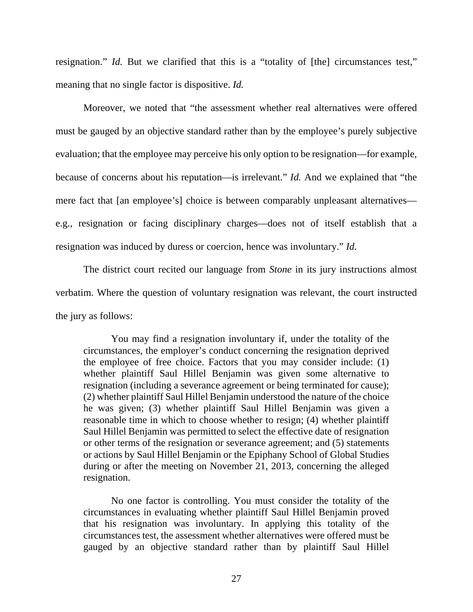resignation." *Id.* But we clarified that this is a "totality of [the] circumstances test," meaning that no single factor is dispositive. *Id.* 

Moreover, we noted that "the assessment whether real alternatives were offered must be gauged by an objective standard rather than by the employee's purely subjective evaluation; that the employee may perceive his only option to be resignation—for example, because of concerns about his reputation—is irrelevant." *Id.* And we explained that "the mere fact that [an employee's] choice is between comparably unpleasant alternatives e.g., resignation or facing disciplinary charges—does not of itself establish that a resignation was induced by duress or coercion, hence was involuntary." *Id.*

The district court recited our language from *Stone* in its jury instructions almost verbatim. Where the question of voluntary resignation was relevant, the court instructed the jury as follows:

You may find a resignation involuntary if, under the totality of the circumstances, the employer's conduct concerning the resignation deprived the employee of free choice. Factors that you may consider include: (1) whether plaintiff Saul Hillel Benjamin was given some alternative to resignation (including a severance agreement or being terminated for cause); (2) whether plaintiff Saul Hillel Benjamin understood the nature of the choice he was given; (3) whether plaintiff Saul Hillel Benjamin was given a reasonable time in which to choose whether to resign; (4) whether plaintiff Saul Hillel Benjamin was permitted to select the effective date of resignation or other terms of the resignation or severance agreement; and (5) statements or actions by Saul Hillel Benjamin or the Epiphany School of Global Studies during or after the meeting on November 21, 2013, concerning the alleged resignation.

No one factor is controlling. You must consider the totality of the circumstances in evaluating whether plaintiff Saul Hillel Benjamin proved that his resignation was involuntary. In applying this totality of the circumstances test, the assessment whether alternatives were offered must be gauged by an objective standard rather than by plaintiff Saul Hillel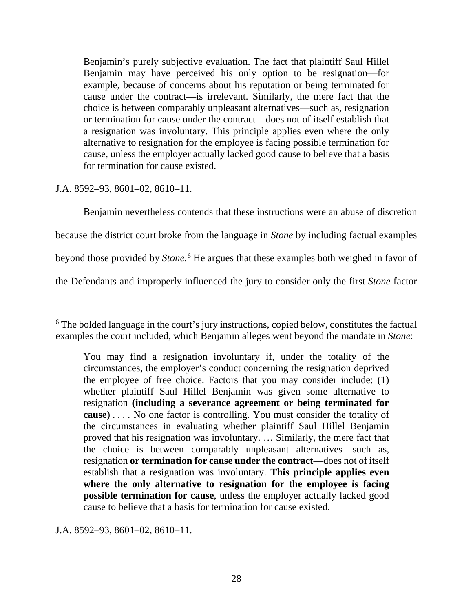Benjamin's purely subjective evaluation. The fact that plaintiff Saul Hillel Benjamin may have perceived his only option to be resignation—for example, because of concerns about his reputation or being terminated for cause under the contract—is irrelevant. Similarly, the mere fact that the choice is between comparably unpleasant alternatives—such as, resignation or termination for cause under the contract—does not of itself establish that a resignation was involuntary. This principle applies even where the only alternative to resignation for the employee is facing possible termination for cause, unless the employer actually lacked good cause to believe that a basis for termination for cause existed.

J.A. 8592–93, 8601–02, 8610–11.

Benjamin nevertheless contends that these instructions were an abuse of discretion because the district court broke from the language in *Stone* by including factual examples beyond those provided by *Stone*. [6](#page-27-0) He argues that these examples both weighed in favor of the Defendants and improperly influenced the jury to consider only the first *Stone* factor

J.A. 8592–93, 8601–02, 8610–11.

<span id="page-27-0"></span><sup>&</sup>lt;sup>6</sup> The bolded language in the court's jury instructions, copied below, constitutes the factual examples the court included, which Benjamin alleges went beyond the mandate in *Stone*:

You may find a resignation involuntary if, under the totality of the circumstances, the employer's conduct concerning the resignation deprived the employee of free choice. Factors that you may consider include: (1) whether plaintiff Saul Hillel Benjamin was given some alternative to resignation **(including a severance agreement or being terminated for cause**) . . . . No one factor is controlling. You must consider the totality of the circumstances in evaluating whether plaintiff Saul Hillel Benjamin proved that his resignation was involuntary. … Similarly, the mere fact that the choice is between comparably unpleasant alternatives—such as, resignation **or termination for cause under the contract**—does not of itself establish that a resignation was involuntary. **This principle applies even where the only alternative to resignation for the employee is facing possible termination for cause**, unless the employer actually lacked good cause to believe that a basis for termination for cause existed.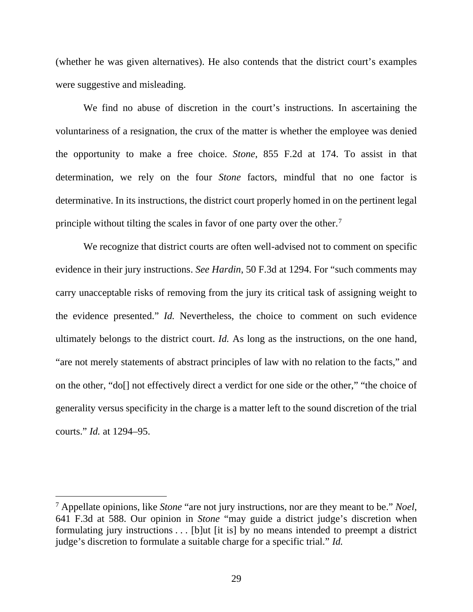(whether he was given alternatives). He also contends that the district court's examples were suggestive and misleading.

We find no abuse of discretion in the court's instructions. In ascertaining the voluntariness of a resignation, the crux of the matter is whether the employee was denied the opportunity to make a free choice. *Stone*, 855 F.2d at 174. To assist in that determination, we rely on the four *Stone* factors, mindful that no one factor is determinative. In its instructions, the district court properly homed in on the pertinent legal principle without tilting the scales in favor of one party over the other.[7](#page-28-0)

We recognize that district courts are often well-advised not to comment on specific evidence in their jury instructions. *See Hardin*, 50 F.3d at 1294. For "such comments may carry unacceptable risks of removing from the jury its critical task of assigning weight to the evidence presented." *Id.* Nevertheless, the choice to comment on such evidence ultimately belongs to the district court. *Id.* As long as the instructions, on the one hand, "are not merely statements of abstract principles of law with no relation to the facts," and on the other, "do[] not effectively direct a verdict for one side or the other," "the choice of generality versus specificity in the charge is a matter left to the sound discretion of the trial courts." *Id.* at 1294–95.

<span id="page-28-0"></span><sup>7</sup> Appellate opinions, like *Stone* "are not jury instructions, nor are they meant to be." *Noel*, 641 F.3d at 588. Our opinion in *Stone* "may guide a district judge's discretion when formulating jury instructions . . . [b]ut [it is] by no means intended to preempt a district judge's discretion to formulate a suitable charge for a specific trial." *Id.*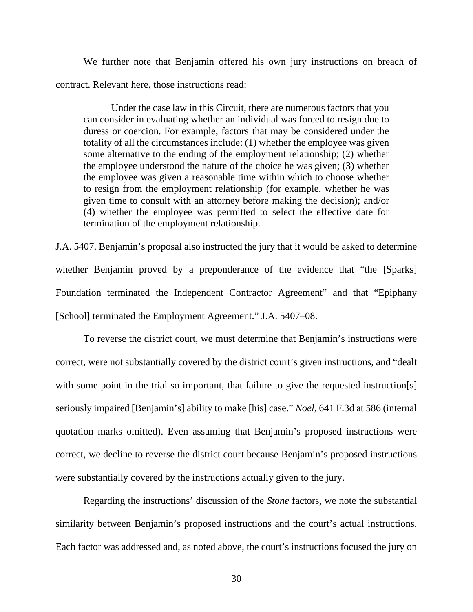We further note that Benjamin offered his own jury instructions on breach of contract. Relevant here, those instructions read:

Under the case law in this Circuit, there are numerous factors that you can consider in evaluating whether an individual was forced to resign due to duress or coercion. For example, factors that may be considered under the totality of all the circumstances include: (1) whether the employee was given some alternative to the ending of the employment relationship; (2) whether the employee understood the nature of the choice he was given; (3) whether the employee was given a reasonable time within which to choose whether to resign from the employment relationship (for example, whether he was given time to consult with an attorney before making the decision); and/or (4) whether the employee was permitted to select the effective date for termination of the employment relationship.

J.A. 5407. Benjamin's proposal also instructed the jury that it would be asked to determine whether Benjamin proved by a preponderance of the evidence that "the [Sparks] Foundation terminated the Independent Contractor Agreement" and that "Epiphany [School] terminated the Employment Agreement." J.A. 5407–08.

To reverse the district court, we must determine that Benjamin's instructions were correct, were not substantially covered by the district court's given instructions, and "dealt with some point in the trial so important, that failure to give the requested instruction[s] seriously impaired [Benjamin's] ability to make [his] case." *Noel*, 641 F.3d at 586 (internal quotation marks omitted). Even assuming that Benjamin's proposed instructions were correct, we decline to reverse the district court because Benjamin's proposed instructions were substantially covered by the instructions actually given to the jury.

Regarding the instructions' discussion of the *Stone* factors, we note the substantial similarity between Benjamin's proposed instructions and the court's actual instructions. Each factor was addressed and, as noted above, the court's instructions focused the jury on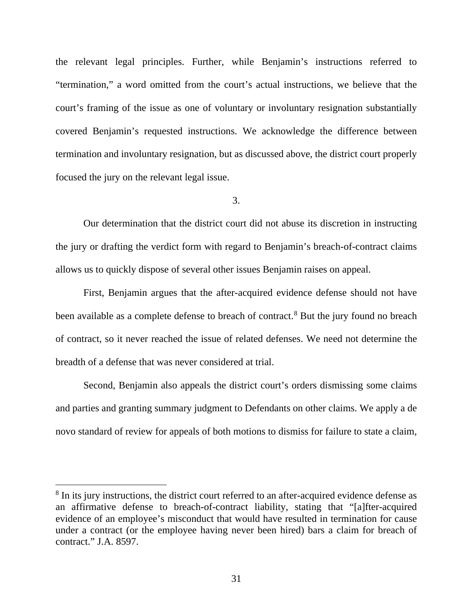the relevant legal principles. Further, while Benjamin's instructions referred to "termination," a word omitted from the court's actual instructions, we believe that the court's framing of the issue as one of voluntary or involuntary resignation substantially covered Benjamin's requested instructions. We acknowledge the difference between termination and involuntary resignation, but as discussed above, the district court properly focused the jury on the relevant legal issue.

3.

Our determination that the district court did not abuse its discretion in instructing the jury or drafting the verdict form with regard to Benjamin's breach-of-contract claims allows us to quickly dispose of several other issues Benjamin raises on appeal.

First, Benjamin argues that the after-acquired evidence defense should not have been available as a complete defense to breach of contract.<sup>[8](#page-30-0)</sup> But the jury found no breach of contract, so it never reached the issue of related defenses. We need not determine the breadth of a defense that was never considered at trial.

Second, Benjamin also appeals the district court's orders dismissing some claims and parties and granting summary judgment to Defendants on other claims. We apply a de novo standard of review for appeals of both motions to dismiss for failure to state a claim,

<span id="page-30-0"></span><sup>&</sup>lt;sup>8</sup> In its jury instructions, the district court referred to an after-acquired evidence defense as an affirmative defense to breach-of-contract liability, stating that "[a]fter-acquired evidence of an employee's misconduct that would have resulted in termination for cause under a contract (or the employee having never been hired) bars a claim for breach of contract." J.A. 8597.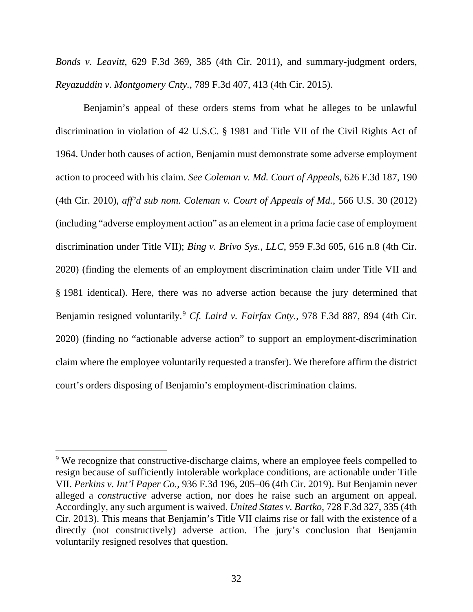*Bonds v. Leavitt*, 629 F.3d 369, 385 (4th Cir. 2011), and summary-judgment orders, *Reyazuddin v. Montgomery Cnty.*, 789 F.3d 407, 413 (4th Cir. 2015).

Benjamin's appeal of these orders stems from what he alleges to be unlawful discrimination in violation of 42 U.S.C. § 1981 and Title VII of the Civil Rights Act of 1964. Under both causes of action, Benjamin must demonstrate some adverse employment action to proceed with his claim. *See Coleman v. Md. Court of Appeals*, 626 F.3d 187, 190 (4th Cir. 2010), *aff'd sub nom. Coleman v. Court of Appeals of Md.*, 566 U.S. 30 (2012) (including "adverse employment action" as an element in a prima facie case of employment discrimination under Title VII); *Bing v. Brivo Sys., LLC*, 959 F.3d 605, 616 n.8 (4th Cir. 2020) (finding the elements of an employment discrimination claim under Title VII and § 1981 identical). Here, there was no adverse action because the jury determined that Benjamin resigned voluntarily.<sup>[9](#page-31-0)</sup> *Cf. Laird v. Fairfax Cnty.*, 978 F.3d 887, 894 (4th Cir. 2020) (finding no "actionable adverse action" to support an employment-discrimination claim where the employee voluntarily requested a transfer). We therefore affirm the district court's orders disposing of Benjamin's employment-discrimination claims.

<span id="page-31-0"></span><sup>&</sup>lt;sup>9</sup> We recognize that constructive-discharge claims, where an employee feels compelled to resign because of sufficiently intolerable workplace conditions, are actionable under Title VII. *Perkins v. Int'l Paper Co.*, 936 F.3d 196, 205–06 (4th Cir. 2019). But Benjamin never alleged a *constructive* adverse action, nor does he raise such an argument on appeal. Accordingly, any such argument is waived. *United States v. Bartko*, 728 F.3d 327, 335 (4th Cir. 2013). This means that Benjamin's Title VII claims rise or fall with the existence of a directly (not constructively) adverse action. The jury's conclusion that Benjamin voluntarily resigned resolves that question.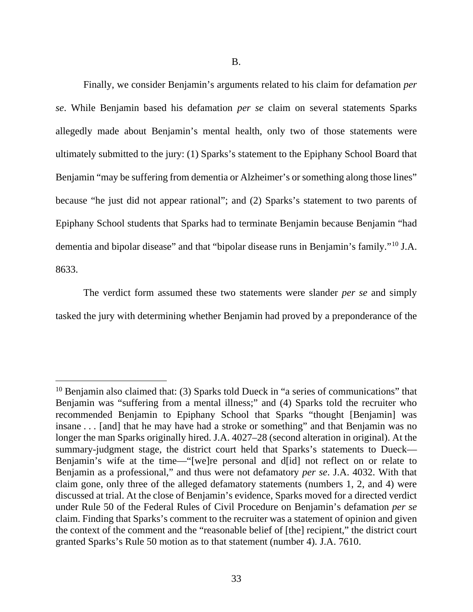Finally, we consider Benjamin's arguments related to his claim for defamation *per se*. While Benjamin based his defamation *per se* claim on several statements Sparks allegedly made about Benjamin's mental health, only two of those statements were ultimately submitted to the jury: (1) Sparks's statement to the Epiphany School Board that Benjamin "may be suffering from dementia or Alzheimer's or something along those lines" because "he just did not appear rational"; and (2) Sparks's statement to two parents of Epiphany School students that Sparks had to terminate Benjamin because Benjamin "had dementia and bipolar disease" and that "bipolar disease runs in Benjamin's family."[10](#page-32-0) J.A. 8633.

The verdict form assumed these two statements were slander *per se* and simply tasked the jury with determining whether Benjamin had proved by a preponderance of the

<span id="page-32-0"></span> $10$  Benjamin also claimed that: (3) Sparks told Dueck in "a series of communications" that Benjamin was "suffering from a mental illness;" and (4) Sparks told the recruiter who recommended Benjamin to Epiphany School that Sparks "thought [Benjamin] was insane . . . [and] that he may have had a stroke or something" and that Benjamin was no longer the man Sparks originally hired. J.A. 4027–28 (second alteration in original). At the summary-judgment stage, the district court held that Sparks's statements to Dueck— Benjamin's wife at the time—"[we]re personal and d[id] not reflect on or relate to Benjamin as a professional," and thus were not defamatory *per se*. J.A. 4032. With that claim gone, only three of the alleged defamatory statements (numbers 1, 2, and 4) were discussed at trial. At the close of Benjamin's evidence, Sparks moved for a directed verdict under Rule 50 of the Federal Rules of Civil Procedure on Benjamin's defamation *per se* claim. Finding that Sparks's comment to the recruiter was a statement of opinion and given the context of the comment and the "reasonable belief of [the] recipient," the district court granted Sparks's Rule 50 motion as to that statement (number 4). J.A. 7610.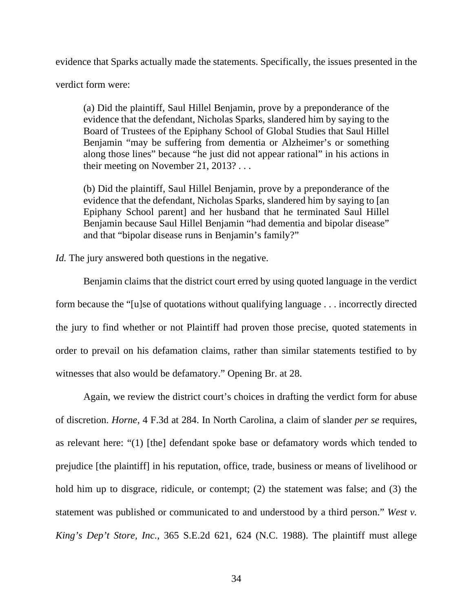evidence that Sparks actually made the statements. Specifically, the issues presented in the

verdict form were:

(a) Did the plaintiff, Saul Hillel Benjamin, prove by a preponderance of the evidence that the defendant, Nicholas Sparks, slandered him by saying to the Board of Trustees of the Epiphany School of Global Studies that Saul Hillel Benjamin "may be suffering from dementia or Alzheimer's or something along those lines" because "he just did not appear rational" in his actions in their meeting on November 21, 2013? . . .

(b) Did the plaintiff, Saul Hillel Benjamin, prove by a preponderance of the evidence that the defendant, Nicholas Sparks, slandered him by saying to [an Epiphany School parent] and her husband that he terminated Saul Hillel Benjamin because Saul Hillel Benjamin "had dementia and bipolar disease" and that "bipolar disease runs in Benjamin's family?"

*Id.* The jury answered both questions in the negative.

Benjamin claims that the district court erred by using quoted language in the verdict form because the "[u]se of quotations without qualifying language . . . incorrectly directed the jury to find whether or not Plaintiff had proven those precise, quoted statements in order to prevail on his defamation claims, rather than similar statements testified to by witnesses that also would be defamatory." Opening Br. at 28.

Again, we review the district court's choices in drafting the verdict form for abuse of discretion. *Horne*, 4 F.3d at 284. In North Carolina, a claim of slander *per se* requires, as relevant here: "(1) [the] defendant spoke base or defamatory words which tended to prejudice [the plaintiff] in his reputation, office, trade, business or means of livelihood or hold him up to disgrace, ridicule, or contempt; (2) the statement was false; and (3) the statement was published or communicated to and understood by a third person." *West v. King's Dep't Store, Inc.*, 365 S.E.2d 621, 624 (N.C. 1988). The plaintiff must allege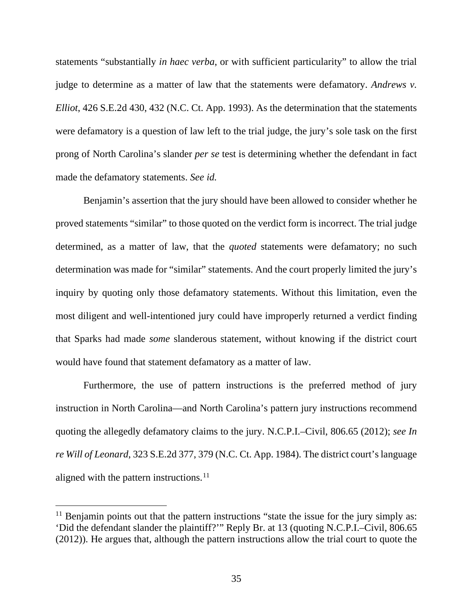statements "substantially *in haec verba*, or with sufficient particularity" to allow the trial judge to determine as a matter of law that the statements were defamatory. *Andrews v. Elliot*, 426 S.E.2d 430, 432 (N.C. Ct. App. 1993). As the determination that the statements were defamatory is a question of law left to the trial judge, the jury's sole task on the first prong of North Carolina's slander *per se* test is determining whether the defendant in fact made the defamatory statements. *See id.*

Benjamin's assertion that the jury should have been allowed to consider whether he proved statements "similar" to those quoted on the verdict form is incorrect. The trial judge determined, as a matter of law, that the *quoted* statements were defamatory; no such determination was made for "similar" statements. And the court properly limited the jury's inquiry by quoting only those defamatory statements. Without this limitation, even the most diligent and well-intentioned jury could have improperly returned a verdict finding that Sparks had made *some* slanderous statement, without knowing if the district court would have found that statement defamatory as a matter of law.

Furthermore, the use of pattern instructions is the preferred method of jury instruction in North Carolina—and North Carolina's pattern jury instructions recommend quoting the allegedly defamatory claims to the jury. N.C.P.I.–Civil, 806.65 (2012); *see In re Will of Leonard*, 323 S.E.2d 377, 379 (N.C. Ct. App. 1984). The district court's language aligned with the pattern instructions. $^{11}$  $^{11}$  $^{11}$ 

<span id="page-34-0"></span> $11$  Benjamin points out that the pattern instructions "state the issue for the jury simply as: 'Did the defendant slander the plaintiff?'" Reply Br. at 13 (quoting N.C.P.I.–Civil, 806.65 (2012)). He argues that, although the pattern instructions allow the trial court to quote the